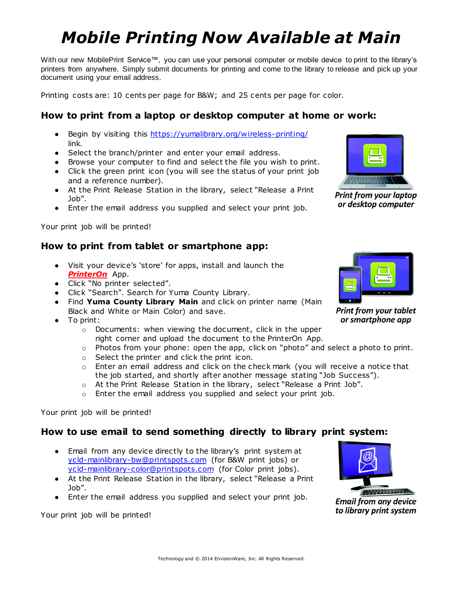# *Mobile Printing Now Available at Main*

With our new MobilePrint Service™, you can use your personal computer or mobile device to print to the library's printers from anywhere. Simply submit documents for printing and come to the library to release and pick up your document using your email address.

Printing costs are: 10 cents per page for B&W; and 25 cents per page for color.

### **How to print from a laptop or desktop computer at home or work:**

- Begin by visiting this<https://yumalibrary.org/wireless-printing/> link.
- Select the branch/printer and enter your email address.
- Browse your computer to find and select the file you wish to print.
- Click the green print icon (you will see the status of your print job and a reference number).
- At the Print Release Station in the library, select "Release a Print Job".
- Enter the email address you supplied and select your print job.

Your print job will be printed!

#### **How to print from tablet or smartphone app:**

- Visit your device's 'store' for apps, install and launch the *PrinterOn* App.
- Click "No printer selected".
- Click "Search". Search for Yuma County Library.
- Find **Yuma County Library Main** and click on printer name (Main Black and White or Main Color) and save.
- To print:
	- o Documents: when viewing the document, click in the upper right corner and upload the document to the PrinterOn App.
	- o Photos from your phone: open the app, click on "photo" and select a photo to print.
	- o Select the printer and click the print icon.
	- o Enter an email address and click on the check mark (you will receive a notice that the job started, and shortly after another message stating "Job Success").
	- o At the Print Release Station in the library, select "Release a Print Job".
	- o Enter the email address you supplied and select your print job.

Your print job will be printed!

#### **How to use email to send something directly to library print system:**

- Email from any device directly to the library's print system at [ycld-mainlibrary-bw@printspots.com](mailto:ycld-mainlibrary-bw@printspots.com) (for B&W print jobs) or [ycld-mainlibrary-color@printspots.com](mailto:ycld-mainlibrary-color@printspots.com) (for Color print jobs).
- At the Print Release Station in the library, select "Release a Print Job".
- Enter the email address you supplied and select your print job.

Your print job will be printed!



or smartphone app



**Email from any device** to library print system



**Print from your laptop** or desktop computer